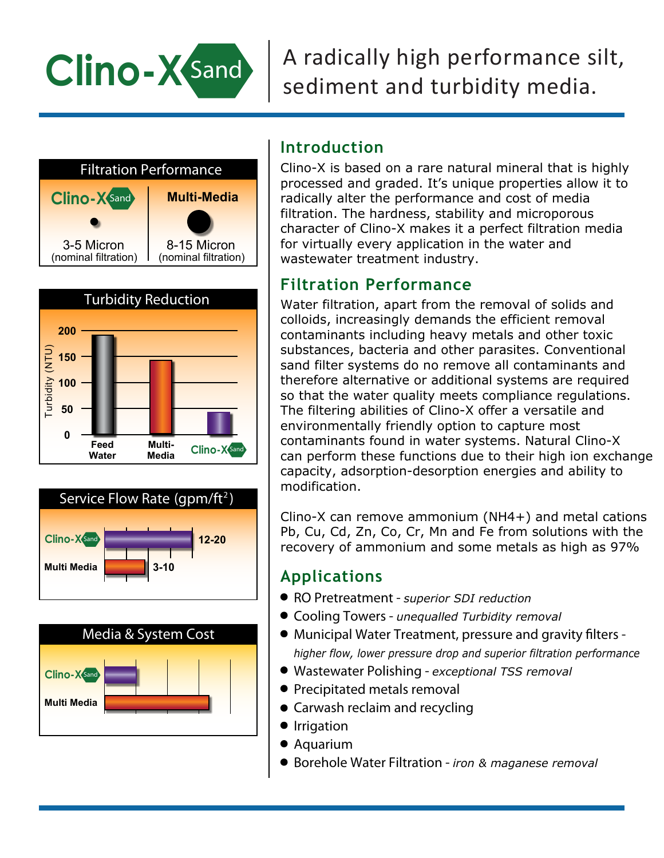

# A radically high performance silt, sediment and turbidity media.









# **Introduction**

Clino-X is based on a rare natural mineral that is highly processed and graded. It's unique properties allow it to radically alter the performance and cost of media filtration. The hardness, stability and microporous character of Clino-X makes it a perfect filtration media for virtually every application in the water and wastewater treatment industry.

## **Filtration Performance**

Water filtration, apart from the removal of solids and colloids, increasingly demands the efficient removal contaminants including heavy metals and other toxic substances, bacteria and other parasites. Conventional sand filter systems do no remove all contaminants and therefore alternative or additional systems are required so that the water quality meets compliance regulations. The filtering abilities of Clino-X offer a versatile and environmentally friendly option to capture most contaminants found in water systems. Natural Clino-X can perform these functions due to their high ion exchange capacity, adsorption-desorption energies and ability to modification.

Clino-X can remove ammonium (NH4+) and metal cations Pb, Cu, Cd, Zn, Co, Cr, Mn and Fe from solutions with the recovery of ammonium and some metals as high as 97%

# **Applications**

- **RO Pretreatment** *superior SDI reduction*
- **Cooling Towers** *unequalled Turbidity removal*
- **Municipal Water Treatment, pressure and gravity filters** *higher flow, lower pressure drop and superior filtration performance*
- **Wastewater Polishing** *exceptional TSS removal*
- **Precipitated metals removal**
- **Carwash reclaim and recycling**
- **•** Irrigation
- **Aquarium**
- **Borehole Water Filtration** *iron & maganese removal*